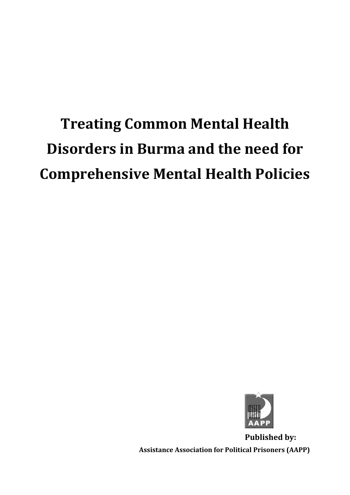# **Treating Common Mental Health Disorders in Burma and the need for Comprehensive Mental Health Policies**



**Published by: Assistance Association for Political Prisoners (AAPP)**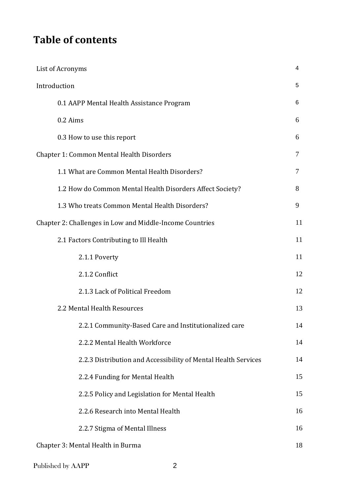## **Table of contents**

| List of Acronyms                                               | 4  |
|----------------------------------------------------------------|----|
| Introduction                                                   | 5  |
| 0.1 AAPP Mental Health Assistance Program                      | 6  |
| 0.2 Aims                                                       | 6  |
| 0.3 How to use this report                                     | 6  |
| <b>Chapter 1: Common Mental Health Disorders</b>               | 7  |
| 1.1 What are Common Mental Health Disorders?                   | 7  |
| 1.2 How do Common Mental Health Disorders Affect Society?      | 8  |
| 1.3 Who treats Common Mental Health Disorders?                 | 9  |
| Chapter 2: Challenges in Low and Middle-Income Countries       | 11 |
| 2.1 Factors Contributing to Ill Health                         | 11 |
| 2.1.1 Poverty                                                  | 11 |
| 2.1.2 Conflict                                                 | 12 |
| 2.1.3 Lack of Political Freedom                                | 12 |
| 2.2 Mental Health Resources                                    | 13 |
| 2.2.1 Community-Based Care and Institutionalized care          | 14 |
| 2.2.2 Mental Health Workforce                                  | 14 |
| 2.2.3 Distribution and Accessibility of Mental Health Services | 14 |
| 2.2.4 Funding for Mental Health                                | 15 |
| 2.2.5 Policy and Legislation for Mental Health                 | 15 |
| 2.2.6 Research into Mental Health                              | 16 |
| 2.2.7 Stigma of Mental Illness                                 | 16 |
| Chapter 3: Mental Health in Burma                              | 18 |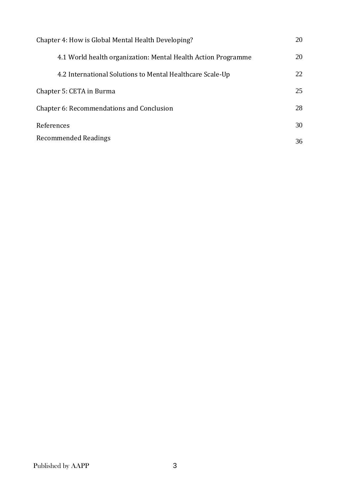| Chapter 4: How is Global Mental Health Developing?            | 20 |
|---------------------------------------------------------------|----|
| 4.1 World health organization: Mental Health Action Programme | 20 |
| 4.2 International Solutions to Mental Healthcare Scale-Up     | 22 |
| Chapter 5: CETA in Burma                                      | 25 |
| Chapter 6: Recommendations and Conclusion                     |    |
| References                                                    |    |
| <b>Recommended Readings</b>                                   |    |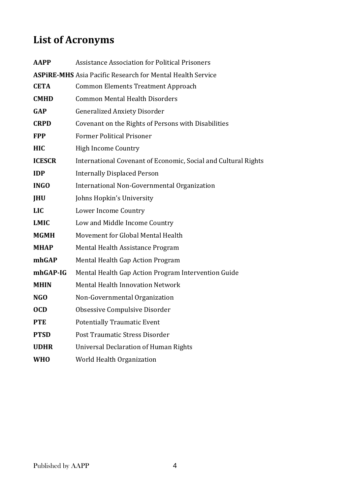## **List of Acronyms**

| <b>AAPP</b>   | <b>Assistance Association for Political Prisoners</b>             |
|---------------|-------------------------------------------------------------------|
|               | <b>ASPIRE-MHS</b> Asia Pacific Research for Mental Health Service |
| <b>CETA</b>   | <b>Common Elements Treatment Approach</b>                         |
| <b>CMHD</b>   | <b>Common Mental Health Disorders</b>                             |
| <b>GAP</b>    | <b>Generalized Anxiety Disorder</b>                               |
| <b>CRPD</b>   | Covenant on the Rights of Persons with Disabilities               |
| <b>FPP</b>    | <b>Former Political Prisoner</b>                                  |
| <b>HIC</b>    | High Income Country                                               |
| <b>ICESCR</b> | International Covenant of Economic, Social and Cultural Rights    |
| <b>IDP</b>    | <b>Internally Displaced Person</b>                                |
| <b>INGO</b>   | International Non-Governmental Organization                       |
| <b>JHU</b>    | Johns Hopkin's University                                         |
| <b>LIC</b>    | Lower Income Country                                              |
| <b>LMIC</b>   | Low and Middle Income Country                                     |
| <b>MGMH</b>   | Movement for Global Mental Health                                 |
| <b>MHAP</b>   | Mental Health Assistance Program                                  |
| mhGAP         | Mental Health Gap Action Program                                  |
| mhGAP-IG      | Mental Health Gap Action Program Intervention Guide               |
| <b>MHIN</b>   | <b>Mental Health Innovation Network</b>                           |
| NGO           | Non-Governmental Organization                                     |
| <b>OCD</b>    | Obsessive Compulsive Disorder                                     |
| <b>PTE</b>    | <b>Potentially Traumatic Event</b>                                |
| <b>PTSD</b>   | Post Traumatic Stress Disorder                                    |
| <b>UDHR</b>   | <b>Universal Declaration of Human Rights</b>                      |
| <b>WHO</b>    | World Health Organization                                         |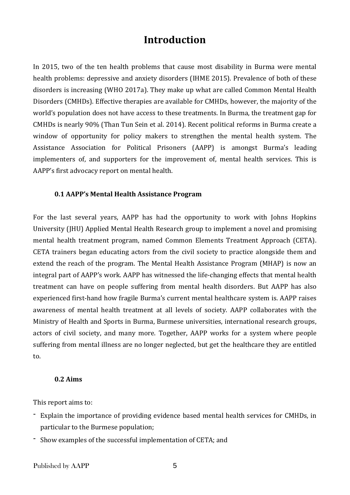### **Introduction**

In 2015, two of the ten health problems that cause most disability in Burma were mental health problems: depressive and anxiety disorders (IHME 2015). Prevalence of both of these disorders is increasing (WHO 2017a). They make up what are called Common Mental Health Disorders (CMHDs). Effective therapies are available for CMHDs, however, the majority of the world's population does not have access to these treatments. In Burma, the treatment gap for CMHDs is nearly 90% (Than Tun Sein et al. 2014). Recent political reforms in Burma create a window of opportunity for policy makers to strengthen the mental health system. The Assistance Association for Political Prisoners (AAPP) is amongst Burma's leading implementers of, and supporters for the improvement of, mental health services. This is AAPP's first advocacy report on mental health.

### **0.1 AAPP's Mental Health Assistance Program**

For the last several years, AAPP has had the opportunity to work with Johns Hopkins University (JHU) Applied Mental Health Research group to implement a novel and promising mental health treatment program, named Common Elements Treatment Approach (CETA). CETA trainers began educating actors from the civil society to practice alongside them and extend the reach of the program. The Mental Health Assistance Program (MHAP) is now an integral part of AAPP's work. AAPP has witnessed the life-changing effects that mental health treatment can have on people suffering from mental health disorders. But AAPP has also experienced first-hand how fragile Burma's current mental healthcare system is. AAPP raises awareness of mental health treatment at all levels of society. AAPP collaborates with the Ministry of Health and Sports in Burma, Burmese universities, international research groups, actors of civil society, and many more. Together, AAPP works for a system where people suffering from mental illness are no longer neglected, but get the healthcare they are entitled to.

#### **0.2 Aims**

This report aims to:

- Explain the importance of providing evidence based mental health services for CMHDs, in particular to the Burmese population;
- Show examples of the successful implementation of CETA; and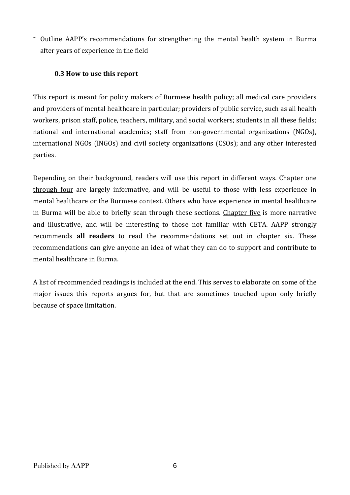- Outline AAPP's recommendations for strengthening the mental health system in Burma after years of experience in the field

### **0.3 How to use this report**

This report is meant for policy makers of Burmese health policy; all medical care providers and providers of mental healthcare in particular; providers of public service, such as all health workers, prison staff, police, teachers, military, and social workers; students in all these fields; national and international academics; staff from non-governmental organizations (NGOs), international NGOs (INGOs) and civil society organizations (CSOs); and any other interested parties.

Depending on their background, readers will use this report in different ways. Chapter one through four are largely informative, and will be useful to those with less experience in mental healthcare or the Burmese context. Others who have experience in mental healthcare in Burma will be able to briefly scan through these sections. Chapter five is more narrative and illustrative, and will be interesting to those not familiar with CETA. AAPP strongly recommends **all readers** to read the recommendations set out in chapter six. These recommendations can give anyone an idea of what they can do to support and contribute to mental healthcare in Burma.

A list of recommended readings is included at the end. This serves to elaborate on some of the major issues this reports argues for, but that are sometimes touched upon only briefly because of space limitation.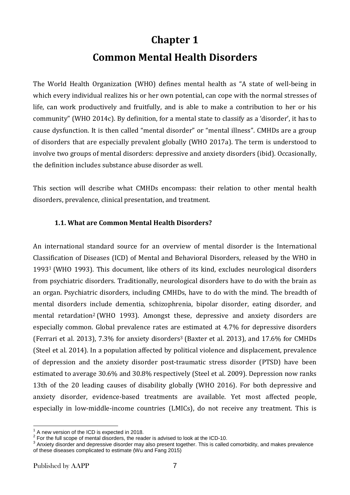## **Chapter 1**

## **Common Mental Health Disorders**

The World Health Organization (WHO) defines mental health as "A state of well-being in which every individual realizes his or her own potential, can cope with the normal stresses of life, can work productively and fruitfully, and is able to make a contribution to her or his community" (WHO 2014c). By definition, for a mental state to classify as a 'disorder', it has to cause dysfunction. It is then called "mental disorder" or "mental illness". CMHDs are a group of disorders that are especially prevalent globally (WHO 2017a). The term is understood to involve two groups of mental disorders: depressive and anxiety disorders (ibid). Occasionally, the definition includes substance abuse disorder as well.

This section will describe what CMHDs encompass: their relation to other mental health disorders, prevalence, clinical presentation, and treatment.

### **1.1. What are Common Mental Health Disorders?**

An international standard source for an overview of mental disorder is the International Classification of Diseases (ICD) of Mental and Behavioral Disorders, released by the WHO in 1993<sup>1</sup> (WHO 1993). This document, like others of its kind, excludes neurological disorders from psychiatric disorders. Traditionally, neurological disorders have to do with the brain as an organ. Psychiatric disorders, including CMHDs, have to do with the mind. The breadth of mental disorders include dementia, schizophrenia, bipolar disorder, eating disorder, and mental retardation<sup>2</sup> (WHO 1993). Amongst these, depressive and anxiety disorders are especially common. Global prevalence rates are estimated at 4.7% for depressive disorders (Ferrari et al. 2013), 7.3% for anxiety disorders<sup>3</sup> (Baxter et al. 2013), and 17.6% for CMHDs (Steel et al. 2014). In a population affected by political violence and displacement, prevalence of depression and the anxiety disorder post-traumatic stress disorder (PTSD) have been estimated to average 30.6% and 30.8% respectively (Steel et al. 2009). Depression now ranks 13th of the 20 leading causes of disability globally (WHO 2016). For both depressive and anxiety disorder, evidence-based treatments are available. Yet most affected people, especially in low-middle-income countries (LMICs), do not receive any treatment. This is

1

 $1<sup>1</sup>$  A new version of the ICD is expected in 2018.

 $2$  For the full scope of mental disorders, the reader is advised to look at the ICD-10.

 $3$  Anxiety disorder and depressive disorder may also present together. This is called comorbidity, and makes prevalence of these diseases complicated to estimate (Wu and Fang 2015)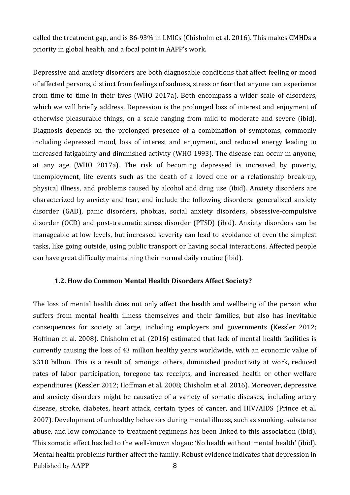called the treatment gap, and is 86-93% in LMICs (Chisholm et al. 2016). This makes CMHDs a priority in global health, and a focal point in AAPP's work.

Depressive and anxiety disorders are both diagnosable conditions that affect feeling or mood of affected persons, distinct from feelings of sadness, stress or fear that anyone can experience from time to time in their lives (WHO 2017a). Both encompass a wider scale of disorders, which we will briefly address. Depression is the prolonged loss of interest and enjoyment of otherwise pleasurable things, on a scale ranging from mild to moderate and severe (ibid). Diagnosis depends on the prolonged presence of a combination of symptoms, commonly including depressed mood, loss of interest and enjoyment, and reduced energy leading to increased fatigability and diminished activity (WHO 1993). The disease can occur in anyone, at any age (WHO 2017a). The risk of becoming depressed is increased by poverty, unemployment, life events such as the death of a loved one or a relationship break-up, physical illness, and problems caused by alcohol and drug use (ibid). Anxiety disorders are characterized by anxiety and fear, and include the following disorders: generalized anxiety disorder (GAD), panic disorders, phobias, social anxiety disorders, obsessive-compulsive disorder (OCD) and post-traumatic stress disorder (PTSD) (ibid). Anxiety disorders can be manageable at low levels, but increased severity can lead to avoidance of even the simplest tasks, like going outside, using public transport or having social interactions. Affected people can have great difficulty maintaining their normal daily routine (ibid).

### **1.2. How do Common Mental Health Disorders Affect Society?**

Published by AAPP 8 The loss of mental health does not only affect the health and wellbeing of the person who suffers from mental health illness themselves and their families, but also has inevitable consequences for society at large, including employers and governments (Kessler 2012; Hoffman et al. 2008). Chisholm et al. (2016) estimated that lack of mental health facilities is currently causing the loss of 43 million healthy years worldwide, with an economic value of \$310 billion. This is a result of, amongst others, diminished productivity at work, reduced rates of labor participation, foregone tax receipts, and increased health or other welfare expenditures (Kessler 2012; Hoffman et al. 2008; Chisholm et al. 2016). Moreover, depressive and anxiety disorders might be causative of a variety of somatic diseases, including artery disease, stroke, diabetes, heart attack, certain types of cancer, and HIV/AIDS (Prince et al. 2007). Development of unhealthy behaviors during mental illness, such as smoking, substance abuse, and low compliance to treatment regimens has been linked to this association (ibid). This somatic effect has led to the well-known slogan: 'No health without mental health' (ibid). Mental health problems further affect the family. Robust evidence indicates that depression in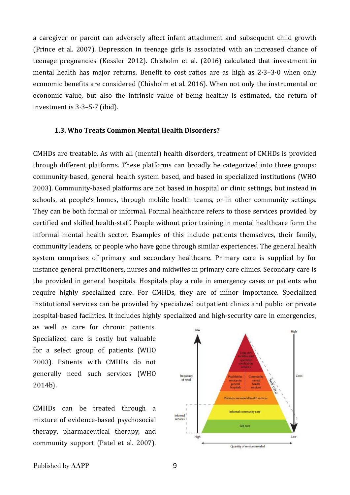a caregiver or parent can adversely affect infant attachment and subsequent child growth (Prince et al. 2007). Depression in teenage girls is associated with an increased chance of teenage pregnancies (Kessler 2012). Chisholm et al. (2016) calculated that investment in mental health has major returns. Benefit to cost ratios are as high as 2·3–3·0 when only economic benefits are considered (Chisholm et al. 2016). When not only the instrumental or economic value, but also the intrinsic value of being healthy is estimated, the return of investment is 3·3–5·7 (ibid).

#### **1.3. Who Treats Common Mental Health Disorders?**

CMHDs are treatable. As with all (mental) health disorders, treatment of CMHDs is provided through different platforms. These platforms can broadly be categorized into three groups: community-based, general health system based, and based in specialized institutions (WHO 2003). Community-based platforms are not based in hospital or clinic settings, but instead in schools, at people's homes, through mobile health teams, or in other community settings. They can be both formal or informal. Formal healthcare refers to those services provided by certified and skilled health-staff. People without prior training in mental healthcare form the informal mental health sector. Examples of this include patients themselves, their family, community leaders, or people who have gone through similar experiences. The general health system comprises of primary and secondary healthcare. Primary care is supplied by for instance general practitioners, nurses and midwifes in primary care clinics. Secondary care is the provided in general hospitals. Hospitals play a role in emergency cases or patients who require highly specialized care. For CMHDs, they are of minor importance. Specialized institutional services can be provided by specialized outpatient clinics and public or private hospital-based facilities. It includes highly specialized and high-security care in emergencies,

as well as care for chronic patients. Specialized care is costly but valuable for a select group of patients (WHO 2003). Patients with CMHDs do not generally need such services (WHO 2014b).

CMHDs can be treated through a mixture of evidence-based psychosocial therapy, pharmaceutical therapy, and community support (Patel et al. 2007).

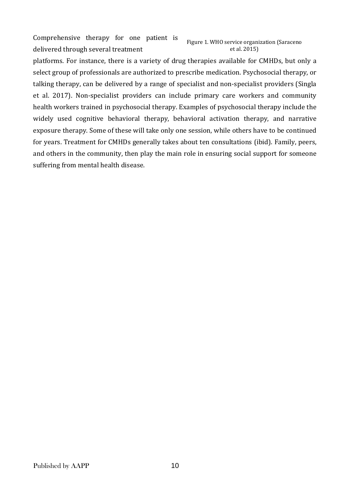Comprehensive therapy for one patient is delivered through several treatment Figure 1. WHO service organization (Saraceno et al. 2015)

platforms. For instance, there is a variety of drug therapies available for CMHDs, but only a select group of professionals are authorized to prescribe medication. Psychosocial therapy, or talking therapy, can be delivered by a range of specialist and non-specialist providers (Singla et al. 2017). Non-specialist providers can include primary care workers and community health workers trained in psychosocial therapy. Examples of psychosocial therapy include the widely used cognitive behavioral therapy, behavioral activation therapy, and narrative exposure therapy. Some of these will take only one session, while others have to be continued for years. Treatment for CMHDs generally takes about ten consultations (ibid). Family, peers, and others in the community, then play the main role in ensuring social support for someone suffering from mental health disease.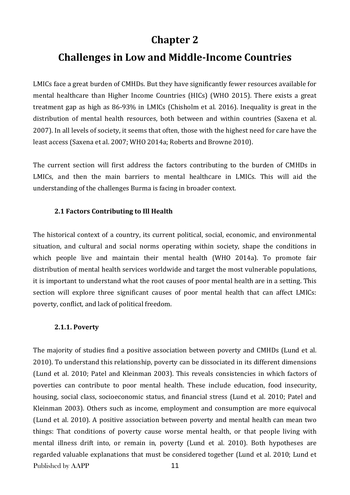### **Chapter 2**

### **Challenges in Low and Middle-Income Countries**

LMICs face a great burden of CMHDs. But they have significantly fewer resources available for mental healthcare than Higher Income Countries (HICs) (WHO 2015). There exists a great treatment gap as high as 86-93% in LMICs (Chisholm et al. 2016). Inequality is great in the distribution of mental health resources, both between and within countries (Saxena et al. 2007). In all levels of society, it seems that often, those with the highest need for care have the least access (Saxena et al. 2007; WHO 2014a; Roberts and Browne 2010).

The current section will first address the factors contributing to the burden of CMHDs in LMICs, and then the main barriers to mental healthcare in LMICs. This will aid the understanding of the challenges Burma is facing in broader context.

### **2.1 Factors Contributing to Ill Health**

The historical context of a country, its current political, social, economic, and environmental situation, and cultural and social norms operating within society, shape the conditions in which people live and maintain their mental health (WHO 2014a). To promote fair distribution of mental health services worldwide and target the most vulnerable populations, it is important to understand what the root causes of poor mental health are in a setting. This section will explore three significant causes of poor mental health that can affect LMICs: poverty, conflict, and lack of political freedom.

### **2.1.1. Poverty**

Published by AAPP 11 The majority of studies find a positive association between poverty and CMHDs (Lund et al. 2010). To understand this relationship, poverty can be dissociated in its different dimensions (Lund et al. 2010; Patel and Kleinman 2003). This reveals consistencies in which factors of poverties can contribute to poor mental health. These include education, food insecurity, housing, social class, socioeconomic status, and financial stress (Lund et al. 2010; Patel and Kleinman 2003). Others such as income, employment and consumption are more equivocal (Lund et al. 2010). A positive association between poverty and mental health can mean two things: That conditions of poverty cause worse mental health, or that people living with mental illness drift into, or remain in, poverty (Lund et al. 2010). Both hypotheses are regarded valuable explanations that must be considered together (Lund et al. 2010; Lund et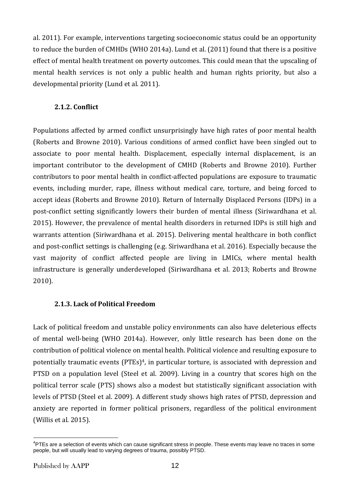al. 2011). For example, interventions targeting socioeconomic status could be an opportunity to reduce the burden of CMHDs (WHO 2014a). Lund et al. (2011) found that there is a positive effect of mental health treatment on poverty outcomes. This could mean that the upscaling of mental health services is not only a public health and human rights priority, but also a developmental priority (Lund et al. 2011).

### **2.1.2. Conflict**

Populations affected by armed conflict unsurprisingly have high rates of poor mental health (Roberts and Browne 2010). Various conditions of armed conflict have been singled out to associate to poor mental health. Displacement, especially internal displacement, is an important contributor to the development of CMHD (Roberts and Browne 2010). Further contributors to poor mental health in conflict-affected populations are exposure to traumatic events, including murder, rape, illness without medical care, torture, and being forced to accept ideas (Roberts and Browne 2010). Return of Internally Displaced Persons (IDPs) in a post-conflict setting significantly lowers their burden of mental illness (Siriwardhana et al. 2015). However, the prevalence of mental health disorders in returned IDPs is still high and warrants attention (Siriwardhana et al. 2015). Delivering mental healthcare in both conflict and post-conflict settings is challenging (e.g. Siriwardhana et al. 2016). Especially because the vast majority of conflict affected people are living in LMICs, where mental health infrastructure is generally underdeveloped (Siriwardhana et al. 2013; Roberts and Browne 2010).

### **2.1.3. Lack of Political Freedom**

Lack of political freedom and unstable policy environments can also have deleterious effects of mental well-being (WHO 2014a). However, only little research has been done on the contribution of political violence on mental health. Political violence and resulting exposure to potentially traumatic events (PTEs)<sup>4</sup>, in particular torture, is associated with depression and PTSD on a population level (Steel et al. 2009). Living in a country that scores high on the political terror scale (PTS) shows also a modest but statistically significant association with levels of PTSD (Steel et al. 2009). A different study shows high rates of PTSD, depression and anxiety are reported in former political prisoners, regardless of the political environment (Willis et al. 2015).

1

<sup>&</sup>lt;sup>4</sup>PTEs are a selection of events which can cause significant stress in people. These events may leave no traces in some people, but will usually lead to varying degrees of trauma, possibly PTSD.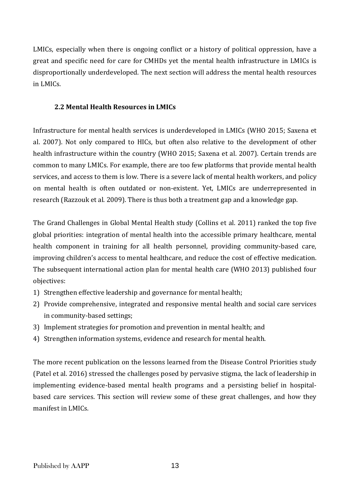LMICs, especially when there is ongoing conflict or a history of political oppression, have a great and specific need for care for CMHDs yet the mental health infrastructure in LMICs is disproportionally underdeveloped. The next section will address the mental health resources in LMICs.

### **2.2 Mental Health Resources in LMICs**

Infrastructure for mental health services is underdeveloped in LMICs (WHO 2015; Saxena et al. 2007). Not only compared to HICs, but often also relative to the development of other health infrastructure within the country (WHO 2015; Saxena et al. 2007). Certain trends are common to many LMICs. For example, there are too few platforms that provide mental health services, and access to them is low. There is a severe lack of mental health workers, and policy on mental health is often outdated or non-existent. Yet, LMICs are underrepresented in research (Razzouk et al. 2009). There is thus both a treatment gap and a knowledge gap.

The Grand Challenges in Global Mental Health study (Collins et al. 2011) ranked the top five global priorities: integration of mental health into the accessible primary healthcare, mental health component in training for all health personnel, providing community-based care, improving children's access to mental healthcare, and reduce the cost of effective medication. The subsequent international action plan for mental health care (WHO 2013) published four objectives:

- 1) Strengthen effective leadership and governance for mental health;
- 2) Provide comprehensive, integrated and responsive mental health and social care services in community-based settings;
- 3) Implement strategies for promotion and prevention in mental health; and
- 4) Strengthen information systems, evidence and research for mental health.

The more recent publication on the lessons learned from the Disease Control Priorities study (Patel et al. 2016) stressed the challenges posed by pervasive stigma, the lack of leadership in implementing evidence-based mental health programs and a persisting belief in hospitalbased care services. This section will review some of these great challenges, and how they manifest in LMICs.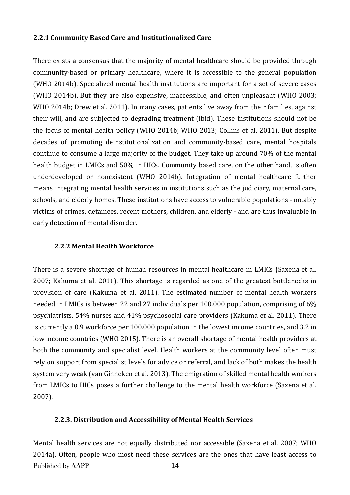### **2.2.1 Community Based Care and Institutionalized Care**

There exists a consensus that the majority of mental healthcare should be provided through community-based or primary healthcare, where it is accessible to the general population (WHO 2014b). Specialized mental health institutions are important for a set of severe cases (WHO 2014b). But they are also expensive, inaccessible, and often unpleasant (WHO 2003; WHO 2014b; Drew et al. 2011). In many cases, patients live away from their families, against their will, and are subjected to degrading treatment (ibid). These institutions should not be the focus of mental health policy (WHO 2014b; WHO 2013; Collins et al. 2011). But despite decades of promoting deinstitutionalization and community-based care, mental hospitals continue to consume a large majority of the budget. They take up around 70% of the mental health budget in LMICs and 50% in HICs. Community based care, on the other hand, is often underdeveloped or nonexistent (WHO 2014b). Integration of mental healthcare further means integrating mental health services in institutions such as the judiciary, maternal care, schools, and elderly homes. These institutions have access to vulnerable populations - notably victims of crimes, detainees, recent mothers, children, and elderly - and are thus invaluable in early detection of mental disorder.

### **2.2.2 Mental Health Workforce**

There is a severe shortage of human resources in mental healthcare in LMICs (Saxena et al. 2007; Kakuma et al. 2011). This shortage is regarded as one of the greatest bottlenecks in provision of care (Kakuma et al. 2011). The estimated number of mental health workers needed in LMICs is between 22 and 27 individuals per 100.000 population, comprising of 6% psychiatrists, 54% nurses and 41% psychosocial care providers (Kakuma et al. 2011). There is currently a 0.9 workforce per 100.000 population in the lowest income countries, and 3.2 in low income countries (WHO 2015). There is an overall shortage of mental health providers at both the community and specialist level. Health workers at the community level often must rely on support from specialist levels for advice or referral, and lack of both makes the health system very weak (van Ginneken et al. 2013). The emigration of skilled mental health workers from LMICs to HICs poses a further challenge to the mental health workforce (Saxena et al. 2007).

### **2.2.3. Distribution and Accessibility of Mental Health Services**

Published by AAPP 14 Mental health services are not equally distributed nor accessible (Saxena et al. 2007; WHO 2014a). Often, people who most need these services are the ones that have least access to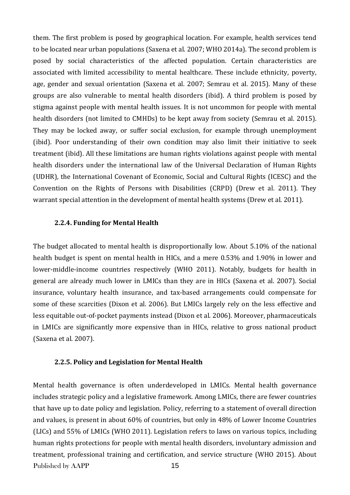them. The first problem is posed by geographical location. For example, health services tend to be located near urban populations (Saxena et al. 2007; WHO 2014a). The second problem is posed by social characteristics of the affected population. Certain characteristics are associated with limited accessibility to mental healthcare. These include ethnicity, poverty, age, gender and sexual orientation (Saxena et al. 2007; Semrau et al. 2015). Many of these groups are also vulnerable to mental health disorders (ibid). A third problem is posed by stigma against people with mental health issues. It is not uncommon for people with mental health disorders (not limited to CMHDs) to be kept away from society (Semrau et al. 2015). They may be locked away, or suffer social exclusion, for example through unemployment (ibid). Poor understanding of their own condition may also limit their initiative to seek treatment (ibid). All these limitations are human rights violations against people with mental health disorders under the international law of the Universal Declaration of Human Rights (UDHR), the International Covenant of Economic, Social and Cultural Rights (ICESC) and the Convention on the Rights of Persons with Disabilities (CRPD) (Drew et al. 2011). They warrant special attention in the development of mental health systems (Drew et al. 2011).

#### **2.2.4. Funding for Mental Health**

The budget allocated to mental health is disproportionally low. About 5.10% of the national health budget is spent on mental health in HICs, and a mere 0.53% and 1.90% in lower and lower-middle-income countries respectively (WHO 2011). Notably, budgets for health in general are already much lower in LMICs than they are in HICs (Saxena et al. 2007). Social insurance, voluntary health insurance, and tax-based arrangements could compensate for some of these scarcities (Dixon et al. 2006). But LMICs largely rely on the less effective and less equitable out-of-pocket payments instead (Dixon et al. 2006). Moreover, pharmaceuticals in LMICs are significantly more expensive than in HICs, relative to gross national product (Saxena et al. 2007).

#### **2.2.5. Policy and Legislation for Mental Health**

Published by AAPP 15 Mental health governance is often underdeveloped in LMICs. Mental health governance includes strategic policy and a legislative framework. Among LMICs, there are fewer countries that have up to date policy and legislation. Policy, referring to a statement of overall direction and values, is present in about 60% of countries, but only in 48% of Lower Income Countries (LICs) and 55% of LMICs (WHO 2011). Legislation refers to laws on various topics, including human rights protections for people with mental health disorders, involuntary admission and treatment, professional training and certification, and service structure (WHO 2015). About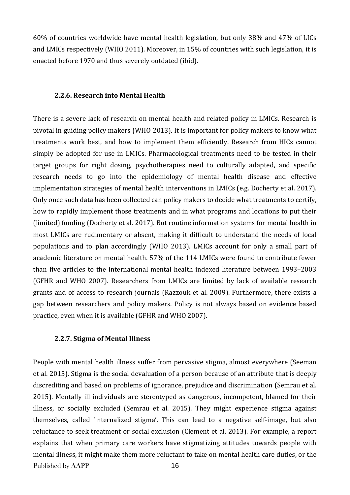60% of countries worldwide have mental health legislation, but only 38% and 47% of LICs and LMICs respectively (WHO 2011). Moreover, in 15% of countries with such legislation, it is enacted before 1970 and thus severely outdated (ibid).

### **2.2.6. Research into Mental Health**

There is a severe lack of research on mental health and related policy in LMICs. Research is pivotal in guiding policy makers (WHO 2013). It is important for policy makers to know what treatments work best, and how to implement them efficiently. Research from HICs cannot simply be adopted for use in LMICs. Pharmacological treatments need to be tested in their target groups for right dosing, psychotherapies need to culturally adapted, and specific research needs to go into the epidemiology of mental health disease and effective implementation strategies of mental health interventions in LMICs (e.g. Docherty et al. 2017). Only once such data has been collected can policy makers to decide what treatments to certify, how to rapidly implement those treatments and in what programs and locations to put their (limited) funding (Docherty et al. 2017). But routine information systems for mental health in most LMICs are rudimentary or absent, making it difficult to understand the needs of local populations and to plan accordingly (WHO 2013). LMICs account for only a small part of academic literature on mental health. 57% of the 114 LMICs were found to contribute fewer than five articles to the international mental health indexed literature between 1993–2003 (GFHR and WHO 2007). Researchers from LMICs are limited by lack of available research grants and of access to research journals (Razzouk et al. 2009). Furthermore, there exists a gap between researchers and policy makers. Policy is not always based on evidence based practice, even when it is available (GFHR and WHO 2007).

### **2.2.7. Stigma of Mental Illness**

Published by AAPP 16 People with mental health illness suffer from pervasive stigma, almost everywhere (Seeman et al. 2015). Stigma is the social devaluation of a person because of an attribute that is deeply discrediting and based on problems of ignorance, prejudice and discrimination (Semrau et al. 2015). Mentally ill individuals are stereotyped as dangerous, incompetent, blamed for their illness, or socially excluded (Semrau et al. 2015). They might experience stigma against themselves, called 'internalized stigma'. This can lead to a negative self-image, but also reluctance to seek treatment or social exclusion (Clement et al. 2013). For example, a report explains that when primary care workers have stigmatizing attitudes towards people with mental illness, it might make them more reluctant to take on mental health care duties, or the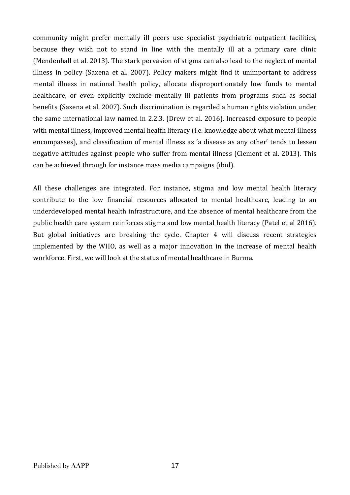community might prefer mentally ill peers use specialist psychiatric outpatient facilities, because they wish not to stand in line with the mentally ill at a primary care clinic (Mendenhall et al. 2013). The stark pervasion of stigma can also lead to the neglect of mental illness in policy (Saxena et al. 2007). Policy makers might find it unimportant to address mental illness in national health policy, allocate disproportionately low funds to mental healthcare, or even explicitly exclude mentally ill patients from programs such as social benefits (Saxena et al. 2007). Such discrimination is regarded a human rights violation under the same international law named in 2.2.3. (Drew et al. 2016). Increased exposure to people with mental illness, improved mental health literacy (i.e. knowledge about what mental illness encompasses), and classification of mental illness as 'a disease as any other' tends to lessen negative attitudes against people who suffer from mental illness (Clement et al. 2013). This can be achieved through for instance mass media campaigns (ibid).

All these challenges are integrated. For instance, stigma and low mental health literacy contribute to the low financial resources allocated to mental healthcare, leading to an underdeveloped mental health infrastructure, and the absence of mental healthcare from the public health care system reinforces stigma and low mental health literacy (Patel et al 2016). But global initiatives are breaking the cycle. Chapter 4 will discuss recent strategies implemented by the WHO, as well as a major innovation in the increase of mental health workforce. First, we will look at the status of mental healthcare in Burma.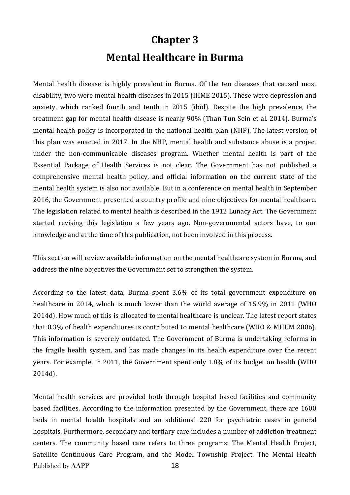## **Chapter 3 Mental Healthcare in Burma**

Mental health disease is highly prevalent in Burma. Of the ten diseases that caused most disability, two were mental health diseases in 2015 (IHME 2015). These were depression and anxiety, which ranked fourth and tenth in 2015 (ibid). Despite the high prevalence, the treatment gap for mental health disease is nearly 90% (Than Tun Sein et al. 2014). Burma's mental health policy is incorporated in the national health plan (NHP). The latest version of this plan was enacted in 2017. In the NHP, mental health and substance abuse is a project under the non-communicable diseases program. Whether mental health is part of the Essential Package of Health Services is not clear. The Government has not published a comprehensive mental health policy, and official information on the current state of the mental health system is also not available. But in a conference on mental health in September 2016, the Government presented a country profile and nine objectives for mental healthcare. The legislation related to mental health is described in the 1912 Lunacy Act. The Government started revising this legislation a few years ago. Non-governmental actors have, to our knowledge and at the time of this publication, not been involved in this process.

This section will review available information on the mental healthcare system in Burma, and address the nine objectives the Government set to strengthen the system.

According to the latest data, Burma spent 3.6% of its total government expenditure on healthcare in 2014, which is much lower than the world average of 15.9% in 2011 (WHO 2014d). How much of this is allocated to mental healthcare is unclear. The latest report states that 0.3% of health expenditures is contributed to mental healthcare (WHO & MHUM 2006). This information is severely outdated. The Government of Burma is undertaking reforms in the fragile health system, and has made changes in its health expenditure over the recent years. For example, in 2011, the Government spent only 1.8% of its budget on health (WHO 2014d).

Published by AAPP 18 Mental health services are provided both through hospital based facilities and community based facilities. According to the information presented by the Government, there are 1600 beds in mental health hospitals and an additional 220 for psychiatric cases in general hospitals. Furthermore, secondary and tertiary care includes a number of addiction treatment centers. The community based care refers to three programs: The Mental Health Project, Satellite Continuous Care Program, and the Model Township Project. The Mental Health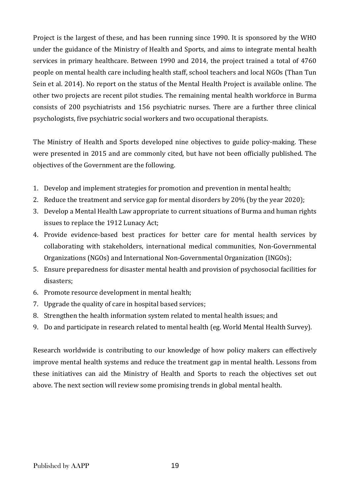Project is the largest of these, and has been running since 1990. It is sponsored by the WHO under the guidance of the Ministry of Health and Sports, and aims to integrate mental health services in primary healthcare. Between 1990 and 2014, the project trained a total of 4760 people on mental health care including health staff, school teachers and local NGOs (Than Tun Sein et al. 2014). No report on the status of the Mental Health Project is available online. The other two projects are recent pilot studies. The remaining mental health workforce in Burma consists of 200 psychiatrists and 156 psychiatric nurses. There are a further three clinical psychologists, five psychiatric social workers and two occupational therapists.

The Ministry of Health and Sports developed nine objectives to guide policy-making. These were presented in 2015 and are commonly cited, but have not been officially published. The objectives of the Government are the following.

- 1. Develop and implement strategies for promotion and prevention in mental health;
- 2. Reduce the treatment and service gap for mental disorders by 20% (by the year 2020);
- 3. Develop a Mental Health Law appropriate to current situations of Burma and human rights issues to replace the 1912 Lunacy Act;
- 4. Provide evidence-based best practices for better care for mental health services by collaborating with stakeholders, international medical communities, Non-Governmental Organizations (NGOs) and International Non-Governmental Organization (INGOs);
- 5. Ensure preparedness for disaster mental health and provision of psychosocial facilities for disasters;
- 6. Promote resource development in mental health;
- 7. Upgrade the quality of care in hospital based services;
- 8. Strengthen the health information system related to mental health issues; and
- 9. Do and participate in research related to mental health (eg. World Mental Health Survey).

Research worldwide is contributing to our knowledge of how policy makers can effectively improve mental health systems and reduce the treatment gap in mental health. Lessons from these initiatives can aid the Ministry of Health and Sports to reach the objectives set out above. The next section will review some promising trends in global mental health.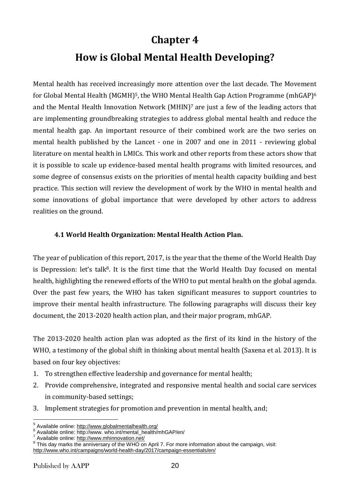### **Chapter 4**

## **How is Global Mental Health Developing?**

Mental health has received increasingly more attention over the last decade. The Movement for Global Mental Health (MGMH)<sup>5</sup>, the WHO Mental Health Gap Action Programme (mhGAP)<sup>6</sup> and the Mental Health Innovation Network (MHIN)<sup>7</sup> are just a few of the leading actors that are implementing groundbreaking strategies to address global mental health and reduce the mental health gap. An important resource of their combined work are the two series on mental health published by the Lancet - one in 2007 and one in 2011 - reviewing global literature on mental health in LMICs. This work and other reports from these actors show that it is possible to scale up evidence-based mental health programs with limited resources, and some degree of consensus exists on the priorities of mental health capacity building and best practice. This section will review the development of work by the WHO in mental health and some innovations of global importance that were developed by other actors to address realities on the ground.

### **4.1 World Health Organization: Mental Health Action Plan.**

The year of publication of this report, 2017, is the year that the theme of the World Health Day is Depression: let's talk<sup>8</sup>. It is the first time that the World Health Day focused on mental health, highlighting the renewed efforts of the WHO to put mental health on the global agenda. Over the past few years, the WHO has taken significant measures to support countries to improve their mental health infrastructure. The following paragraphs will discuss their key document, the 2013-2020 health action plan, and their major program, mhGAP.

The 2013-2020 health action plan was adopted as the first of its kind in the history of the WHO, a testimony of the global shift in thinking about mental health (Saxena et al. 2013). It is based on four key objectives:

- 1. To strengthen effective leadership and governance for mental health;
- 2. Provide comprehensive, integrated and responsive mental health and social care services in community-based settings;
- 3. Implement strategies for promotion and prevention in mental health, and;

 5 Available online: <http://www.globalmentalhealth.org/>

 $^6$  Available online: http://www. who.int/mental\_health/mhGAP/en/ $^7$ 

Available online: <http://www.mhinnovation.net/>

<sup>&</sup>lt;sup>8</sup> This day marks the anniversary of the WHO on April 7. For more information about the campaign, visit: <http://www.who.int/campaigns/world-health-day/2017/campaign-essentials/en/>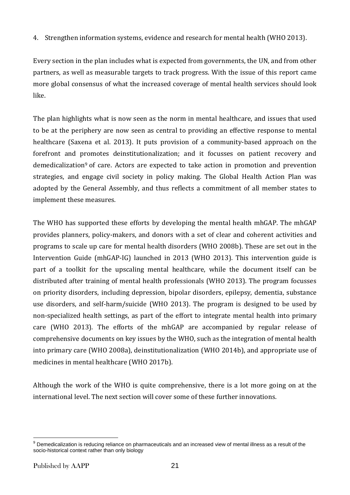4. Strengthen information systems, evidence and research for mental health (WHO 2013).

Every section in the plan includes what is expected from governments, the UN, and from other partners, as well as measurable targets to track progress. With the issue of this report came more global consensus of what the increased coverage of mental health services should look like.

The plan highlights what is now seen as the norm in mental healthcare, and issues that used to be at the periphery are now seen as central to providing an effective response to mental healthcare (Saxena et al. 2013). It puts provision of a community-based approach on the forefront and promotes deinstitutionalization; and it focusses on patient recovery and demedicalization<sup>9</sup> of care. Actors are expected to take action in promotion and prevention strategies, and engage civil society in policy making. The Global Health Action Plan was adopted by the General Assembly, and thus reflects a commitment of all member states to implement these measures.

The WHO has supported these efforts by developing the mental health mhGAP. The mhGAP provides planners, policy-makers, and donors with a set of clear and coherent activities and programs to scale up care for mental health disorders (WHO 2008b). These are set out in the Intervention Guide (mhGAP-IG) launched in 2013 (WHO 2013). This intervention guide is part of a toolkit for the upscaling mental healthcare, while the document itself can be distributed after training of mental health professionals (WHO 2013). The program focusses on priority disorders, including depression, bipolar disorders, epilepsy, dementia, substance use disorders, and self-harm/suicide (WHO 2013). The program is designed to be used by non-specialized health settings, as part of the effort to integrate mental health into primary care (WHO 2013). The efforts of the mhGAP are accompanied by regular release of comprehensive documents on key issues by the WHO, such as the integration of mental health into primary care (WHO 2008a), deinstitutionalization (WHO 2014b), and appropriate use of medicines in mental healthcare (WHO 2017b).

Although the work of the WHO is quite comprehensive, there is a lot more going on at the international level. The next section will cover some of these further innovations.

<sup>1</sup>  $9$  Demedicalization is reducing reliance on pharmaceuticals and an increased view of mental illness as a result of the socio-historical context rather than only biology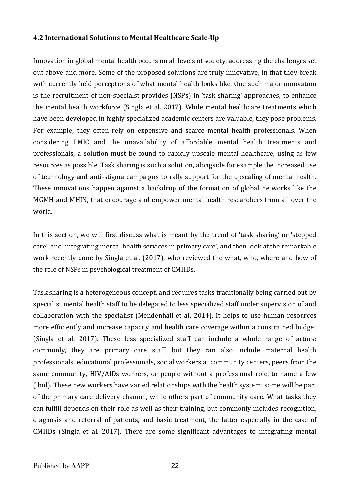### **4.2 International Solutions to Mental Healthcare Scale-Up**

Innovation in global mental health occurs on all levels of society, addressing the challenges set out above and more. Some of the proposed solutions are truly innovative, in that they break with currently held perceptions of what mental health looks like. One such major innovation is the recruitment of non-specialst provides (NSPs) in 'task sharing' approaches, to enhance the mental health workforce (Singla et al. 2017). While mental healthcare treatments which have been developed in highly specialized academic centers are valuable, they pose problems. For example, they often rely on expensive and scarce mental health professionals. When considering LMIC and the unavailability of affordable mental health treatments and professionals, a solution must be found to rapidly upscale mental healthcare, using as few resources as possible. Task sharing is such a solution, alongside for example the increased use of technology and anti-stigma campaigns to rally support for the upscaling of mental health. These innovations happen against a backdrop of the formation of global networks like the MGMH and MHIN, that encourage and empower mental health researchers from all over the world.

In this section, we will first discuss what is meant by the trend of 'task sharing' or 'stepped care', and 'integrating mental health services in primary care', and then look at the remarkable work recently done by Singla et al. (2017), who reviewed the what, who, where and how of the role of NSPs in psychological treatment of CMHDs.

Task sharing is a heterogeneous concept, and requires tasks traditionally being carried out by specialist mental health staff to be delegated to less specialized staff under supervision of and collaboration with the specialist (Mendenhall et al. 2014). It helps to use human resources more efficiently and increase capacity and health care coverage within a constrained budget (Singla et al. 2017). These less specialized staff can include a whole range of actors: commonly, they are primary care staff, but they can also include maternal health professionals, educational professionals, social workers at community centers, peers from the same community, HIV/AIDs workers, or people without a professional role, to name a few (ibid). These new workers have varied relationships with the health system: some will be part of the primary care delivery channel, while others part of community care. What tasks they can fulfill depends on their role as well as their training, but commonly includes recognition, diagnosis and referral of patients, and basic treatment, the latter especially in the case of CMHDs (Singla et al. 2017). There are some significant advantages to integrating mental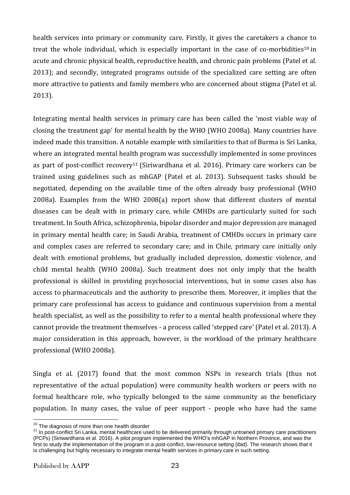health services into primary or community care. Firstly, it gives the caretakers a chance to treat the whole individual, which is especially important in the case of co-morbidities<sup>10</sup> in acute and chronic physical health, reproductive health, and chronic pain problems (Patel et al. 2013); and secondly, integrated programs outside of the specialized care setting are often more attractive to patients and family members who are concerned about stigma (Patel et al. 2013).

Integrating mental health services in primary care has been called the 'most viable way of closing the treatment gap' for mental health by the WHO (WHO 2008a). Many countries have indeed made this transition. A notable example with similarities to that of Burma is Sri Lanka, where an integrated mental health program was successfully implemented in some provinces as part of post-conflict recovery<sup>11</sup> (Siriwardhana et al. 2016). Primary care workers can be trained using guidelines such as mhGAP (Patel et al. 2013). Subsequent tasks should be negotiated, depending on the available time of the often already busy professional (WHO 2008a). Examples from the WHO 2008(a) report show that different clusters of mental diseases can be dealt with in primary care, while CMHDs are particularly suited for such treatment. In South Africa, schizophrenia, bipolar disorder and major depression are managed in primary mental health care; in Saudi Arabia, treatment of CMHDs occurs in primary care and complex cases are referred to secondary care; and in Chile, primary care initially only dealt with emotional problems, but gradually included depression, domestic violence, and child mental health (WHO 2008a). Such treatment does not only imply that the health professional is skilled in providing psychosocial interventions, but in some cases also has access to pharmaceuticals and the authority to prescribe them. Moreover, it implies that the primary care professional has access to guidance and continuous supervision from a mental health specialist, as well as the possibility to refer to a mental health professional where they cannot provide the treatment themselves - a process called 'stepped care' (Patel et al. 2013). A major consideration in this approach, however, is the workload of the primary healthcare professional (WHO 2008a).

Singla et al. (2017) found that the most common NSPs in research trials (thus not representative of the actual population) were community health workers or peers with no formal healthcare role, who typically belonged to the same community as the beneficiary population. In many cases, the value of peer support - people who have had the same

<u>.</u>

 $10$  The diagnosis of more than one health disorder

<sup>&</sup>lt;sup>11</sup> In post-conflict Sri Lanka, mental healthcare used to be delivered primarily through untrained primary care practitioners (PCPs) (Siriwardhana et al. 2016). A pilot program implemented the WHO's mhGAP in Northern Province, and was the first to study the implementation of the program in a post-conflict, low-resource setting (ibid). The research shows that it is challenging but highly necessary to integrate mental health services in primary care in such setting.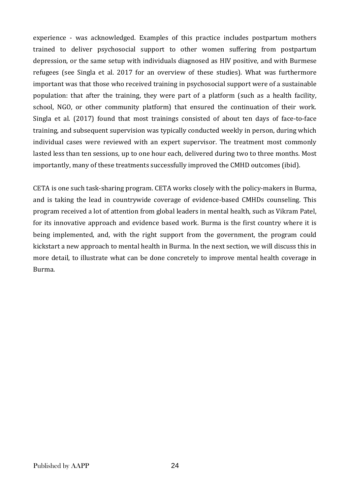experience - was acknowledged. Examples of this practice includes postpartum mothers trained to deliver psychosocial support to other women suffering from postpartum depression, or the same setup with individuals diagnosed as HIV positive, and with Burmese refugees (see Singla et al. 2017 for an overview of these studies). What was furthermore important was that those who received training in psychosocial support were of a sustainable population: that after the training, they were part of a platform (such as a health facility, school, NGO, or other community platform) that ensured the continuation of their work. Singla et al. (2017) found that most trainings consisted of about ten days of face-to-face training, and subsequent supervision was typically conducted weekly in person, during which individual cases were reviewed with an expert supervisor. The treatment most commonly lasted less than ten sessions, up to one hour each, delivered during two to three months. Most importantly, many of these treatments successfully improved the CMHD outcomes (ibid).

CETA is one such task-sharing program. CETA works closely with the policy-makers in Burma, and is taking the lead in countrywide coverage of evidence-based CMHDs counseling. This program received a lot of attention from global leaders in mental health, such as Vikram Patel, for its innovative approach and evidence based work. Burma is the first country where it is being implemented, and, with the right support from the government, the program could kickstart a new approach to mental health in Burma. In the next section, we will discuss this in more detail, to illustrate what can be done concretely to improve mental health coverage in Burma.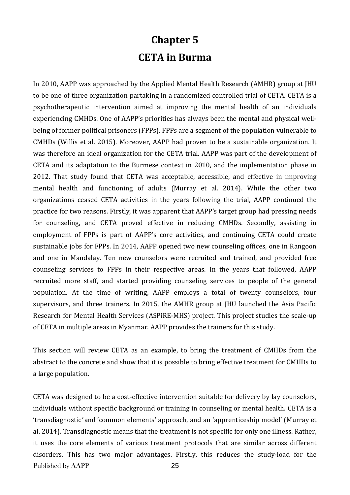## **Chapter 5 CETA in Burma**

In 2010, AAPP was approached by the Applied Mental Health Research (AMHR) group at JHU to be one of three organization partaking in a randomized controlled trial of CETA. CETA is a psychotherapeutic intervention aimed at improving the mental health of an individuals experiencing CMHDs. One of AAPP's priorities has always been the mental and physical wellbeing of former political prisoners (FPPs). FPPs are a segment of the population vulnerable to CMHDs (Willis et al. 2015). Moreover, AAPP had proven to be a sustainable organization. It was therefore an ideal organization for the CETA trial. AAPP was part of the development of CETA and its adaptation to the Burmese context in 2010, and the implementation phase in 2012. That study found that CETA was acceptable, accessible, and effective in improving mental health and functioning of adults (Murray et al. 2014). While the other two organizations ceased CETA activities in the years following the trial, AAPP continued the practice for two reasons. Firstly, it was apparent that AAPP's target group had pressing needs for counseling, and CETA proved effective in reducing CMHDs. Secondly, assisting in employment of FPPs is part of AAPP's core activities, and continuing CETA could create sustainable jobs for FPPs. In 2014, AAPP opened two new counseling offices, one in Rangoon and one in Mandalay. Ten new counselors were recruited and trained, and provided free counseling services to FPPs in their respective areas. In the years that followed, AAPP recruited more staff, and started providing counseling services to people of the general population. At the time of writing, AAPP employs a total of twenty counselors, four supervisors, and three trainers. In 2015, the AMHR group at JHU launched the Asia Pacific Research for Mental Health Services (ASPiRE-MHS) project. This project studies the scale-up of CETA in multiple areas in Myanmar. AAPP provides the trainers for this study.

This section will review CETA as an example, to bring the treatment of CMHDs from the abstract to the concrete and show that it is possible to bring effective treatment for CMHDs to a large population.

Published by AAPP 25 CETA was designed to be a cost-effective intervention suitable for delivery by lay counselors, individuals without specific background or training in counseling or mental health. CETA is a 'transdiagnostic*'* and 'common elements' approach, and an 'apprenticeship model' (Murray et al. 2014)*.* Transdiagnostic means that the treatment is not specific for only one illness. Rather, it uses the core elements of various treatment protocols that are similar across different disorders. This has two major advantages. Firstly, this reduces the study-load for the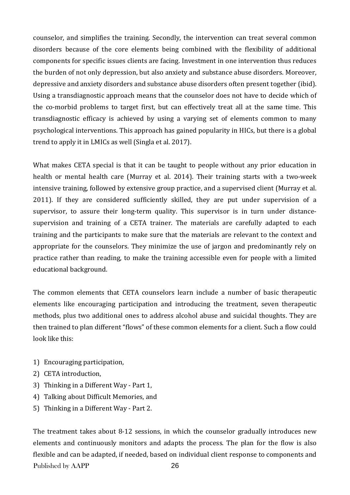counselor, and simplifies the training. Secondly, the intervention can treat several common disorders because of the core elements being combined with the flexibility of additional components for specific issues clients are facing. Investment in one intervention thus reduces the burden of not only depression, but also anxiety and substance abuse disorders. Moreover, depressive and anxiety disorders and substance abuse disorders often present together (ibid). Using a transdiagnostic approach means that the counselor does not have to decide which of the co-morbid problems to target first, but can effectively treat all at the same time. This transdiagnostic efficacy is achieved by using a varying set of elements common to many psychological interventions. This approach has gained popularity in HICs, but there is a global trend to apply it in LMICs as well (Singla et al. 2017).

What makes CETA special is that it can be taught to people without any prior education in health or mental health care (Murray et al. 2014). Their training starts with a two-week intensive training, followed by extensive group practice, and a supervised client (Murray et al. 2011). If they are considered sufficiently skilled, they are put under supervision of a supervisor, to assure their long-term quality. This supervisor is in turn under distancesupervision and training of a CETA trainer. The materials are carefully adapted to each training and the participants to make sure that the materials are relevant to the context and appropriate for the counselors. They minimize the use of jargon and predominantly rely on practice rather than reading, to make the training accessible even for people with a limited educational background.

The common elements that CETA counselors learn include a number of basic therapeutic elements like encouraging participation and introducing the treatment, seven therapeutic methods, plus two additional ones to address alcohol abuse and suicidal thoughts. They are then trained to plan different "flows" of these common elements for a client. Such a flow could look like this:

- 1) Encouraging participation,
- 2) CETA introduction,
- 3) Thinking in a Different Way Part 1,
- 4) Talking about Difficult Memories, and
- 5) Thinking in a Different Way Part 2.

Published by AAPP 26 The treatment takes about 8-12 sessions, in which the counselor gradually introduces new elements and continuously monitors and adapts the process. The plan for the flow is also flexible and can be adapted, if needed, based on individual client response to components and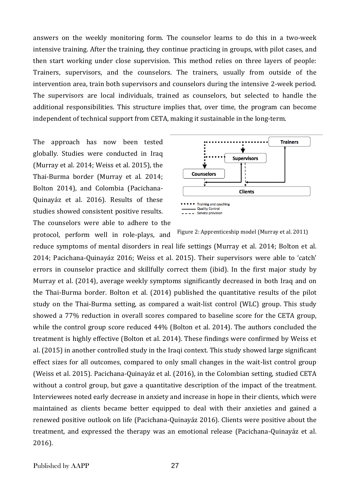answers on the weekly monitoring form. The counselor learns to do this in a two-week intensive training. After the training, they continue practicing in groups, with pilot cases, and then start working under close supervision. This method relies on three layers of people: Trainers, supervisors, and the counselors. The trainers, usually from outside of the intervention area, train both supervisors and counselors during the intensive 2-week period. The supervisors are local individuals, trained as counselors, but selected to handle the additional responsibilities. This structure implies that, over time, the program can become independent of technical support from CETA, making it sustainable in the long-term.

The approach has now been tested globally. Studies were conducted in Iraq (Murray et al. 2014; Weiss et al. 2015), the Thai-Burma border (Murray et al. 2014; Bolton 2014), and Colombia (Pacichana-Quinayáz et al. 2016). Results of these studies showed consistent positive results.

The counselors were able to adhere to the protocol, perform well in role-plays, and



Figure 2: Apprenticeship model (Murray et al. 2011)

reduce symptoms of mental disorders in real life settings (Murray et al. 2014; Bolton et al. 2014; Pacichana-Quinayáz 2016; Weiss et al. 2015). Their supervisors were able to 'catch' errors in counselor practice and skillfully correct them (ibid). In the first major study by Murray et al. (2014), average weekly symptoms significantly decreased in both Iraq and on the Thai-Burma border. Bolton et al. (2014) published the quantitative results of the pilot study on the Thai-Burma setting, as compared a wait-list control (WLC) group. This study showed a 77% reduction in overall scores compared to baseline score for the CETA group, while the control group score reduced 44% (Bolton et al. 2014). The authors concluded the treatment is highly effective (Bolton et al. 2014). These findings were confirmed by Weiss et al. (2015) in another controlled study in the Iraqi context. This study showed large significant effect sizes for all outcomes, compared to only small changes in the wait-list control group (Weiss et al. 2015). Pacichana-Quinayáz et al. (2016), in the Colombian setting, studied CETA without a control group, but gave a quantitative description of the impact of the treatment. Interviewees noted early decrease in anxiety and increase in hope in their clients, which were maintained as clients became better equipped to deal with their anxieties and gained a renewed positive outlook on life (Pacichana-Quinayáz 2016). Clients were positive about the treatment, and expressed the therapy was an emotional release (Pacichana-Quinayáz et al. 2016).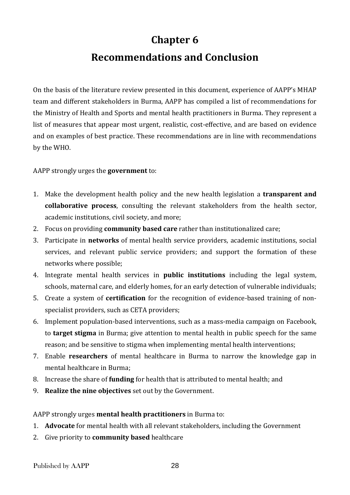## **Chapter 6**

## **Recommendations and Conclusion**

On the basis of the literature review presented in this document, experience of AAPP's MHAP team and different stakeholders in Burma, AAPP has compiled a list of recommendations for the Ministry of Health and Sports and mental health practitioners in Burma. They represent a list of measures that appear most urgent, realistic, cost-effective, and are based on evidence and on examples of best practice. These recommendations are in line with recommendations by the WHO.

AAPP strongly urges the **government** to:

- 1. Make the development health policy and the new health legislation a **transparent and collaborative process**, consulting the relevant stakeholders from the health sector, academic institutions, civil society, and more;
- 2. Focus on providing **community based care** rather than institutionalized care;
- 3. Participate in **networks** of mental health service providers, academic institutions, social services, and relevant public service providers; and support the formation of these networks where possible;
- 4. Integrate mental health services in **public institutions** including the legal system, schools, maternal care, and elderly homes, for an early detection of vulnerable individuals;
- 5. Create a system of **certification** for the recognition of evidence-based training of nonspecialist providers, such as CETA providers;
- 6. Implement population-based interventions, such as a mass-media campaign on Facebook, to **target stigma** in Burma; give attention to mental health in public speech for the same reason; and be sensitive to stigma when implementing mental health interventions;
- 7. Enable **researchers** of mental healthcare in Burma to narrow the knowledge gap in mental healthcare in Burma;
- 8. Increase the share of **funding** for health that is attributed to mental health; and
- 9. **Realize the nine objectives** set out by the Government.

AAPP strongly urges **mental health practitioners** in Burma to:

- 1. **Advocate** for mental health with all relevant stakeholders, including the Government
- 2. Give priority to **community based** healthcare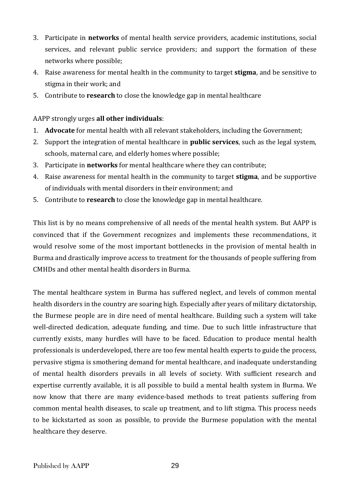- 3. Participate in **networks** of mental health service providers, academic institutions, social services, and relevant public service providers; and support the formation of these networks where possible;
- 4. Raise awareness for mental health in the community to target **stigma**, and be sensitive to stigma in their work; and
- 5. Contribute to **research** to close the knowledge gap in mental healthcare

### AAPP strongly urges **all other individuals**:

- 1. **Advocate** for mental health with all relevant stakeholders, including the Government;
- 2. Support the integration of mental healthcare in **public services**, such as the legal system, schools, maternal care, and elderly homes where possible;
- 3. Participate in **networks** for mental healthcare where they can contribute;
- 4. Raise awareness for mental health in the community to target **stigma**, and be supportive of individuals with mental disorders in their environment; and
- 5. Contribute to **research** to close the knowledge gap in mental healthcare.

This list is by no means comprehensive of all needs of the mental health system. But AAPP is convinced that if the Government recognizes and implements these recommendations, it would resolve some of the most important bottlenecks in the provision of mental health in Burma and drastically improve access to treatment for the thousands of people suffering from CMHDs and other mental health disorders in Burma.

The mental healthcare system in Burma has suffered neglect, and levels of common mental health disorders in the country are soaring high. Especially after years of military dictatorship, the Burmese people are in dire need of mental healthcare. Building such a system will take well-directed dedication, adequate funding, and time. Due to such little infrastructure that currently exists, many hurdles will have to be faced. Education to produce mental health professionals is underdeveloped, there are too few mental health experts to guide the process, pervasive stigma is smothering demand for mental healthcare, and inadequate understanding of mental health disorders prevails in all levels of society. With sufficient research and expertise currently available, it is all possible to build a mental health system in Burma. We now know that there are many evidence-based methods to treat patients suffering from common mental health diseases, to scale up treatment, and to lift stigma. This process needs to be kickstarted as soon as possible, to provide the Burmese population with the mental healthcare they deserve.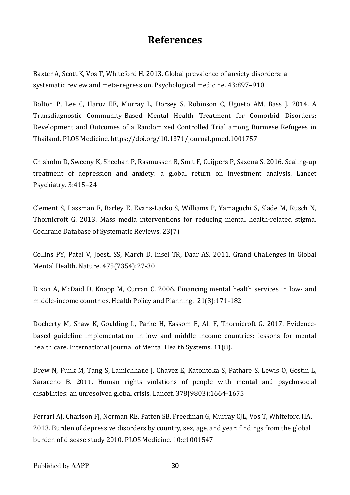## **References**

Baxter A, Scott K, Vos T, Whiteford H. 2013. Global prevalence of anxiety disorders: a systematic review and meta-regression. Psychological medicine*.* 43:897–910

Bolton P, Lee C, Haroz EE, Murray L, Dorsey S, Robinson C, Ugueto AM, Bass J. 2014. A Transdiagnostic Community-Based Mental Health Treatment for Comorbid Disorders: Development and Outcomes of a Randomized Controlled Trial among Burmese Refugees in Thailand. PLOS Medicine. <https://doi.org/10.1371/journal.pmed.1001757>

Chisholm D, Sweeny K, Sheehan P, Rasmussen B, Smit F, Cuijpers P, Saxena S. 2016. Scaling-up treatment of depression and anxiety: a global return on investment analysis. Lancet Psychiatry. 3:415–24

Clement S, Lassman F, Barley E, Evans-Lacko S, Williams P, Yamaguchi S, Slade M, Rüsch N, Thornicroft G. 2013. Mass media interventions for reducing mental health-related stigma. Cochrane Database of Systematic Reviews. 23(7)

Collins PY, Patel V, Joestl SS, March D, Insel TR, Daar AS. 2011. Grand Challenges in Global Mental Health. Nature. 475(7354):27-30

Dixon A, McDaid D, Knapp M, Curran C. 2006. Financing mental health services in low- and middle-income countries. Health Policy and Planning. 21(3):171-182

Docherty M, Shaw K, Goulding L, Parke H, Eassom E, Ali F, Thornicroft G. 2017. Evidencebased guideline implementation in low and middle income countries: lessons for mental health care. International Journal of Mental Health Systems. 11(8).

Drew N, Funk M, Tang S, Lamichhane J, Chavez E, Katontoka S, Pathare S, Lewis O, Gostin L, Saraceno B. 2011. Human rights violations of people with mental and psychosocial disabilities: an unresolved global crisis. Lancet. 378(9803):1664-1675

Ferrari AJ, Charlson FJ, Norman RE, Patten SB, Freedman G, Murray CJL, Vos T, Whiteford HA. 2013. Burden of depressive disorders by country, sex, age, and year: findings from the global burden of disease study 2010. PLOS Medicine. 10:e1001547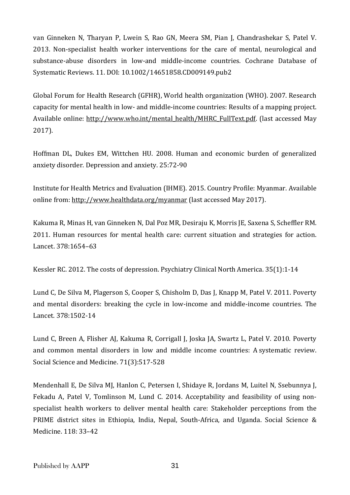van Ginneken N, Tharyan P, Lwein S, Rao GN, Meera SM, Pian J, Chandrashekar S, Patel V. 2013. Non-specialist health worker interventions for the care of mental, neurological and substance-abuse disorders in low-and middle-income countries. Cochrane Database of Systematic Reviews. 11. DOI: 10.1002/14651858.CD009149.pub2

Global Forum for Health Research (GFHR), World health organization (WHO). 2007. Research capacity for mental health in low- and middle-income countries: Results of a mapping project. Available online: [http://www.who.int/mental\\_health/MHRC\\_FullText.pdf.](http://www.who.int/mental_health/MHRC_FullText.pdf) (last accessed May 2017).

Hoffman DL, Dukes EM, Wittchen HU. 2008. Human and economic burden of generalized anxiety disorder. Depression and anxiety. 25:72-90

Institute for Health Metrics and Evaluation (IHME). 2015. Country Profile: Myanmar. Available online from: <http://www.healthdata.org/myanmar> (last accessed May 2017).

Kakuma R, Minas H, van Ginneken N, Dal Poz MR, Desiraju K, Morris JE, Saxena S, Scheffler RM. 2011. Human resources for mental health care: current situation and strategies for action. Lancet. 378:1654–63

Kessler RC. 2012. The costs of depression. Psychiatry Clinical North America. 35(1):1-14

Lund C, De Silva M, Plagerson S, Cooper S, Chisholm D, Das J, Knapp M, Patel V. 2011. Poverty and mental disorders: breaking the cycle in low-income and middle-income countries. The Lancet. 378:1502-14

Lund C, Breen A, Flisher AJ, Kakuma R, Corrigall J, Joska JA, Swartz L, Patel V. 2010. Poverty and common mental disorders in low and middle income countries: A systematic review. Social Science and Medicine. 71(3):517-528

Mendenhall E, De Silva MJ, Hanlon C, Petersen I, Shidaye R, Jordans M, Luitel N, Ssebunnya J, Fekadu A, Patel V, Tomlinson M, Lund C. 2014. Acceptability and feasibility of using nonspecialist health workers to deliver mental health care: Stakeholder perceptions from the PRIME district sites in Ethiopia, India, Nepal, South-Africa, and Uganda. Social Science & Medicine. 118: 33–42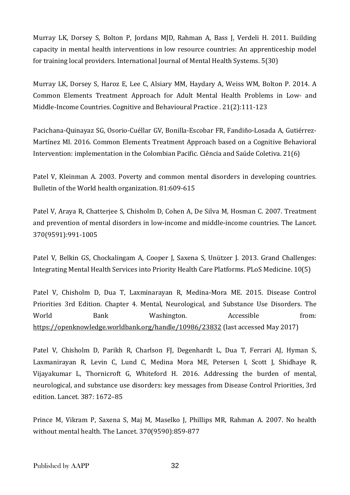Murray LK, Dorsey S, Bolton P, Jordans MJD, Rahman A, Bass J, Verdeli H. 2011. Building capacity in mental health interventions in low resource countries: An apprenticeship model for training local providers. International Journal of Mental Health Systems. 5(30)

Murray LK, Dorsey S, Haroz E, Lee C, Alsiary MM, Haydary A, Weiss WM, Bolton P. 2014. A Common Elements Treatment Approach for Adult Mental Health Problems in Low- and Middle-Income Countries. Cognitive and Behavioural Practice . 21(2):111-123

Pacichana-Quinayaz SG, Osorio-Cuéllar GV, Bonilla-Escobar FR, Fandiño-Losada A, Gutiérrez-Martínez MI. 2016. Common Elements Treatment Approach based on a Cognitive Behavioral Intervention: implementation in the Colombian Pacific. Ciência and Saúde Coletiva. 21(6)

Patel V, Kleinman A. 2003. Poverty and common mental disorders in developing countries. Bulletin of the World health organization. 81:609-615

Patel V, Araya R, Chatterjee S, Chisholm D, Cohen A, De Silva M, Hosman C. 2007. Treatment and prevention of mental disorders in low-income and middle-income countries. The Lancet. 370(9591):991-1005

Patel V, Belkin GS, Chockalingam A, Cooper J, Saxena S, Unützer J. 2013. Grand Challenges: Integrating Mental Health Services into Priority Health Care Platforms. PLoS Medicine. 10(5)

Patel V, Chisholm D, Dua T, Laxminarayan R, Medina-Mora ME. 2015. Disease Control Priorities 3rd Edition. Chapter 4. Mental, Neurological, and Substance Use Disorders. The World Bank Washington. Accessible from: <https://openknowledge.worldbank.org/handle/10986/23832> (last accessed May 2017)

Patel V, Chisholm D, Parikh R, Charlson FJ, Degenhardt L, Dua T, Ferrari AJ, Hyman S, Laxmanirayan R, Levin C, Lund C, Medina Mora ME, Petersen I, Scott J, Shidhaye R, Vijayakumar L, Thornicroft G, Whiteford H. 2016. Addressing the burden of mental, neurological, and substance use disorders: key messages from Disease Control Priorities, 3rd edition. Lancet. 387: 1672–85

Prince M, Vikram P, Saxena S, Maj M, Maselko J, Phillips MR, Rahman A. 2007. No health without mental health. The Lancet. 370(9590):859-877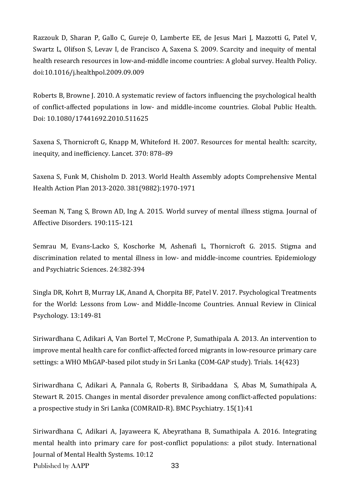Razzouk D, Sharan P, Gallo C, Gureje O, Lamberte EE, de Jesus Mari J, Mazzotti G, Patel V, Swartz L, Olifson S, Levav I, de Francisco A, Saxena S. 2009. Scarcity and inequity of mental health research resources in low-and-middle income countries: A global survey. Health Policy. doi:10.1016/j.healthpol.2009.09.009

Roberts B, Browne J. 2010. A systematic review of factors influencing the psychological health of conflict-affected populations in low- and middle-income countries. Global Public Health. Doi: 10.1080/17441692.2010.511625

Saxena S, Thornicroft G, Knapp M, Whiteford H. 2007. Resources for mental health: scarcity, inequity, and inefficiency. Lancet. 370: 878–89

Saxena S, Funk M, Chisholm D. 2013. World Health Assembly adopts Comprehensive Mental Health Action Plan 2013-2020. 381(9882):1970-1971

Seeman N, Tang S, Brown AD, Ing A. 2015. World survey of mental illness stigma. Journal of Affective Disorders. 190:115-121

Semrau M, Evans-Lacko S, Koschorke M, Ashenafi L, Thornicroft G. 2015. Stigma and discrimination related to mental illness in low- and middle-income countries. Epidemiology and Psychiatric Sciences. 24:382-394

Singla DR, Kohrt B, Murray LK, Anand A, Chorpita BF, Patel V. 2017. Psychological Treatments for the World: Lessons from Low- and Middle-Income Countries. Annual Review in Clinical Psychology. 13:149-81

Siriwardhana C, Adikari A, Van Bortel T, McCrone P, Sumathipala A. 2013. An intervention to improve mental health care for conflict-affected forced migrants in low-resource primary care settings: a WHO MhGAP-based pilot study in Sri Lanka (COM-GAP study). Trials. 14(423)

Siriwardhana C, Adikari A, Pannala G, Roberts B, Siribaddana S, Abas M, Sumathipala A, Stewart R. 2015. Changes in mental disorder prevalence among conflict-affected populations: a prospective study in Sri Lanka (COMRAID-R). BMC Psychiatry. 15(1):41

Published by AAPP 33 Siriwardhana C, Adikari A, Jayaweera K, Abeyrathana B, Sumathipala A. 2016. Integrating mental health into primary care for post-conflict populations: a pilot study. International Journal of Mental Health Systems. 10:12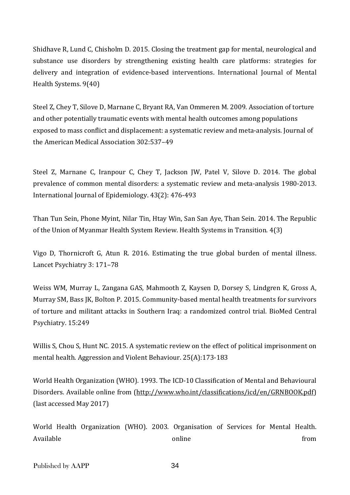Shidhave R, Lund C, Chisholm D. 2015. Closing the treatment gap for mental, neurological and substance use disorders by strengthening existing health care platforms: strategies for delivery and integration of evidence-based interventions. International Journal of Mental Health Systems. 9(40)

Steel Z, Chey T, Silove D, Marnane C, Bryant RA, Van Ommeren M. 2009. Association of torture and other potentially traumatic events with mental health outcomes among populations exposed to mass conflict and displacement: a systematic review and meta-analysis. Journal of the American Medical Association 302:537–49

Steel Z, Marnane C, Iranpour C, Chey T, Jackson JW, Patel V, Silove D. 2014. The global prevalence of common mental disorders: a systematic review and meta-analysis 1980-2013. International Journal of Epidemiology. 43(2): 476-493

Than Tun Sein, Phone Myint, Nilar Tin, Htay Win, San San Aye, Than Sein. 2014. The Republic of the Union of Myanmar Health System Review. Health Systems in Transition. 4(3)

Vigo D, Thornicroft G, Atun R. 2016. Estimating the true global burden of mental illness. Lancet Psychiatry 3: 171–78

Weiss WM, Murray L, Zangana GAS, Mahmooth Z, Kaysen D, Dorsey S, Lindgren K, Gross A, Murray SM, Bass JK, Bolton P. 2015. Community-based mental health treatments for survivors of torture and militant attacks in Southern Iraq: a randomized control trial. BioMed Central Psychiatry. 15:249

Willis S, Chou S, Hunt NC. 2015. A systematic review on the effect of political imprisonment on mental health. Aggression and Violent Behaviour. 25(A):173-183

World Health Organization (WHO). 1993. The ICD-10 Classification of Mental and Behavioural Disorders. Available online from [\(http://www.who.int/classifications/icd/en/GRNBOOK.pdf\)](http://www.who.int/classifications/icd/en/GRNBOOK.pdf) (last accessed May 2017)

World Health Organization (WHO). 2003. Organisation of Services for Mental Health. Available **contracts** from the conditional online  $\mathbf{r}$  from  $\mathbf{r}$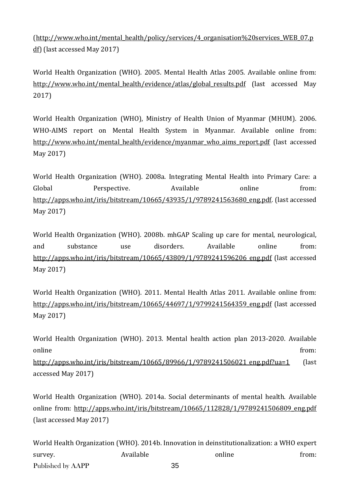[\(http://www.who.int/mental\\_health/policy/services/4\\_organisation%20services\\_WEB\\_07.p](http://www.who.int/mental_health/policy/services/4_organisation%20services_WEB_07.pdf) [df\)](http://www.who.int/mental_health/policy/services/4_organisation%20services_WEB_07.pdf) (last accessed May 2017)

World Health Organization (WHO). 2005. Mental Health Atlas 2005. Available online from: [http://www.who.int/mental\\_health/evidence/atlas/global\\_results.pdf](http://www.who.int/mental_health/evidence/atlas/global_results.pdf) (last accessed May 2017)

World Health Organization (WHO), Ministry of Health Union of Myanmar (MHUM). 2006. WHO-AIMS report on Mental Health System in Myanmar. Available online from: [http://www.who.int/mental\\_health/evidence/myanmar\\_who\\_aims\\_report.pdf](http://www.who.int/mental_health/evidence/myanmar_who_aims_report.pdf) (last accessed May 2017)

World Health Organization (WHO). 2008a. Integrating Mental Health into Primary Care: a Global **Perspective.** Available **online** from: [http://apps.who.int/iris/bitstream/10665/43935/1/9789241563680\\_eng.pdf.](http://apps.who.int/iris/bitstream/10665/43935/1/9789241563680_eng.pdf) (last accessed May 2017)

World Health Organization (WHO). 2008b. mhGAP Scaling up care for mental, neurological, and substance use disorders. Available online from: [http://apps.who.int/iris/bitstream/10665/43809/1/9789241596206\\_eng.pdf](http://apps.who.int/iris/bitstream/10665/43809/1/9789241596206_eng.pdf) (last accessed May 2017)

World Health Organization (WHO). 2011. Mental Health Atlas 2011. Available online from: [http://apps.who.int/iris/bitstream/10665/44697/1/9799241564359\\_eng.pdf](http://apps.who.int/iris/bitstream/10665/44697/1/9799241564359_eng.pdf) (last accessed May 2017)

World Health Organization (WHO). 2013. Mental health action plan 2013-2020. Available online from:

[http://apps.who.int/iris/bitstream/10665/89966/1/9789241506021\\_eng.pdf?ua=1](http://apps.who.int/iris/bitstream/10665/89966/1/9789241506021_eng.pdf?ua=1) (last accessed May 2017)

World Health Organization (WHO). 2014a. Social determinants of mental health. Available online from: [http://apps.who.int/iris/bitstream/10665/112828/1/9789241506809\\_eng.pdf](http://apps.who.int/iris/bitstream/10665/112828/1/9789241506809_eng.pdf) (last accessed May 2017)

Published by AAPP 35 World Health Organization (WHO). 2014b. Innovation in deinstitutionalization: a WHO expert survey. Available online from: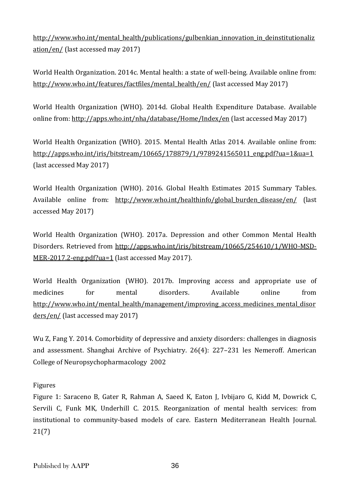[http://www.who.int/mental\\_health/publications/gulbenkian\\_innovation\\_in\\_deinstitutionaliz](http://www.who.int/mental_health/publications/gulbenkian_innovation_in_deinstitutionalization/en/) [ation/en/](http://www.who.int/mental_health/publications/gulbenkian_innovation_in_deinstitutionalization/en/) (last accessed may 2017)

World Health Organization. 2014c. Mental health: a state of well-being. Available online from: [http://www.who.int/features/factfiles/mental\\_health/en/](http://www.who.int/features/factfiles/mental_health/en/) (last accessed May 2017)

World Health Organization (WHO). 2014d. Global Health Expenditure Database. Available online from: <http://apps.who.int/nha/database/Home/Index/en> (last accessed May 2017)

World Health Organization (WHO). 2015. Mental Health Atlas 2014. Available online from: [http://apps.who.int/iris/bitstream/10665/178879/1/9789241565011\\_eng.pdf?ua=1&ua=1](http://apps.who.int/iris/bitstream/10665/178879/1/9789241565011_eng.pdf?ua=1&ua=1) (last accessed May 2017)

World Health Organization (WHO). 2016. Global Health Estimates 2015 Summary Tables. Available online from: http://www.who.int/healthinfo/global burden disease/en/ (last accessed May 2017)

World Health Organization (WHO). 2017a. Depression and other Common Mental Health Disorders. Retrieved from [http://apps.who.int/iris/bitstream/10665/254610/1/WHO-MSD-](http://apps.who.int/iris/bitstream/10665/254610/1/WHO-MSD-MER-2017.2-eng.pdf?ua=1)[MER-2017.2-eng.pdf?ua=1](http://apps.who.int/iris/bitstream/10665/254610/1/WHO-MSD-MER-2017.2-eng.pdf?ua=1) (last accessed May 2017).

World Health Organization (WHO). 2017b. Improving access and appropriate use of medicines for mental disorders. Available online from [http://www.who.int/mental\\_health/management/improving\\_access\\_medicines\\_mental\\_disor](http://www.who.int/mental_health/management/improving_access_medicines_mental_disorders/en/) [ders/en/](http://www.who.int/mental_health/management/improving_access_medicines_mental_disorders/en/) (last accessed may 2017)

Wu Z, Fang Y. 2014. Comorbidity of depressive and anxiety disorders: challenges in diagnosis and assessment. Shanghai Archive of Psychiatry. 26(4): 227–231 les Nemeroff. American College of Neuropsychopharmacology 2002

Figures

Figure 1: Saraceno B, Gater R, Rahman A, Saeed K, Eaton J, Ivbijaro G, Kidd M, Dowrick C, Servili C, Funk MK, Underhill C. 2015. Reorganization of mental health services: from institutional to community-based models of care. Eastern Mediterranean Health Journal. 21(7)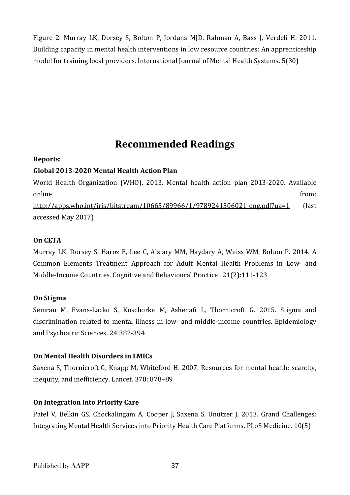Figure 2: Murray LK, Dorsey S, Bolton P, Jordans MJD, Rahman A, Bass J, Verdeli H. 2011. Building capacity in mental health interventions in low resource countries: An apprenticeship model for training local providers. International Journal of Mental Health Systems. 5(30)

## **Recommended Readings**

### **Reports**:

### **Global 2013-2020 Mental Health Action Plan**

World Health Organization (WHO). 2013. Mental health action plan 2013-2020. Available online from: [http://apps.who.int/iris/bitstream/10665/89966/1/9789241506021\\_eng.pdf?ua=1](http://apps.who.int/iris/bitstream/10665/89966/1/9789241506021_eng.pdf?ua=1) (last

accessed May 2017)

### **On CETA**

Murray LK, Dorsey S, Haroz E, Lee C, Alsiary MM, Haydary A, Weiss WM, Bolton P. 2014. A Common Elements Treatment Approach for Adult Mental Health Problems in Low- and Middle-Income Countries. Cognitive and Behavioural Practice . 21(2):111-123

### **On Stigma**

Semrau M, Evans-Lacko S, Koschorke M, Ashenafi L, Thornicroft G. 2015. Stigma and discrimination related to mental illness in low- and middle-income countries. Epidemiology and Psychiatric Sciences. 24:382-394

### **On Mental Health Disorders in LMICs**

Saxena S, Thornicroft G, Knapp M, Whiteford H. 2007. Resources for mental health: scarcity, inequity, and inefficiency. Lancet. 370: 878–89

### **On Integration into Priority Care**

Patel V, Belkin GS, Chockalingam A, Cooper J, Saxena S, Unützer J. 2013. Grand Challenges: Integrating Mental Health Services into Priority Health Care Platforms. PLoS Medicine. 10(5)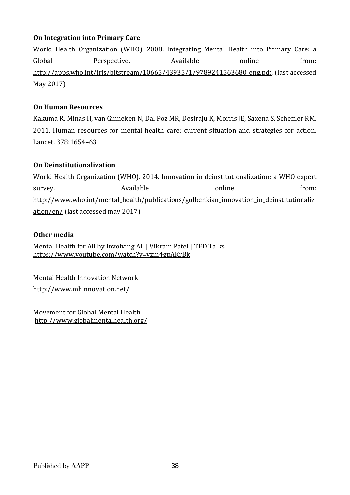### **On Integration into Primary Care**

World Health Organization (WHO). 2008. Integrating Mental Health into Primary Care: a Global **Perspective.** Available **and** *Available* online from: [http://apps.who.int/iris/bitstream/10665/43935/1/9789241563680\\_eng.pdf.](http://apps.who.int/iris/bitstream/10665/43935/1/9789241563680_eng.pdf) (last accessed May 2017)

### **On Human Resources**

Kakuma R, Minas H, van Ginneken N, Dal Poz MR, Desiraju K, Morris JE, Saxena S, Scheffler RM. 2011. Human resources for mental health care: current situation and strategies for action. Lancet. 378:1654–63

### **On Deinstitutionalization**

World Health Organization (WHO). 2014. Innovation in deinstitutionalization: a WHO expert survey. The survey online that the survey. The Available survey and the set online from: [http://www.who.int/mental\\_health/publications/gulbenkian\\_innovation\\_in\\_deinstitutionaliz](http://www.who.int/mental_health/publications/gulbenkian_innovation_in_deinstitutionalization/en/) [ation/en/](http://www.who.int/mental_health/publications/gulbenkian_innovation_in_deinstitutionalization/en/) (last accessed may 2017)

### **Other media**

Mental Health for All by Involving All | Vikram Patel | TED Talks <https://www.youtube.com/watch?v=yzm4gpAKrBk>

Mental Health Innovation Network <http://www.mhinnovation.net/>

Movement for Global Mental Health <http://www.globalmentalhealth.org/>